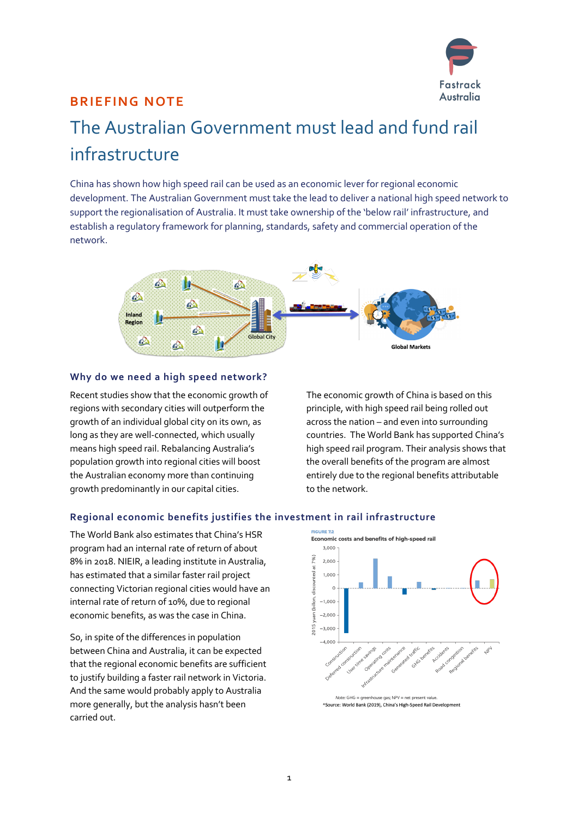

## **BRIEFING NOTE**

## The Australian Government must lead and fund rail infrastructure

China has shown how high speed rail can be used as an economic lever for regional economic development. The Australian Government must take the lead to deliver a national high speed network to support the regionalisation of Australia. It must take ownership of the 'below rail' infrastructure, and establish a regulatory framework for planning, standards, safety and commercial operation of the network.



### **Why do we need a high speed network?**

Recent studies show that the economic growth of regions with secondary cities will outperform the growth of an individual global city on its own, as long as they are well-connected, which usually means high speed rail. Rebalancing Australia's population growth into regional cities will boost the Australian economy more than continuing growth predominantly in our capital cities.

The economic growth of China is based on this principle, with high speed rail being rolled out across the nation – and even into surrounding countries. The World Bank has supported China's high speed rail program. Their analysis shows that the overall benefits of the program are almost entirely due to the regional benefits attributable to the network.

## **Regional economic benefits justifies the investment in rail infrastructure**

The World Bank also estimates that China's HSR program had an internal rate of return of about 8% in 2018. NIEIR, a leading institute in Australia, has estimated that a similar faster rail project connecting Victorian regional cities would have an internal rate of return of 10%, due to regional economic benefits, as was the case in China.

So, in spite of the differences in population between China and Australia, it can be expected that the regional economic benefits are sufficient to justify building a faster rail network in Victoria. And the same would probably apply to Australia more generally, but the analysis hasn't been carried out.